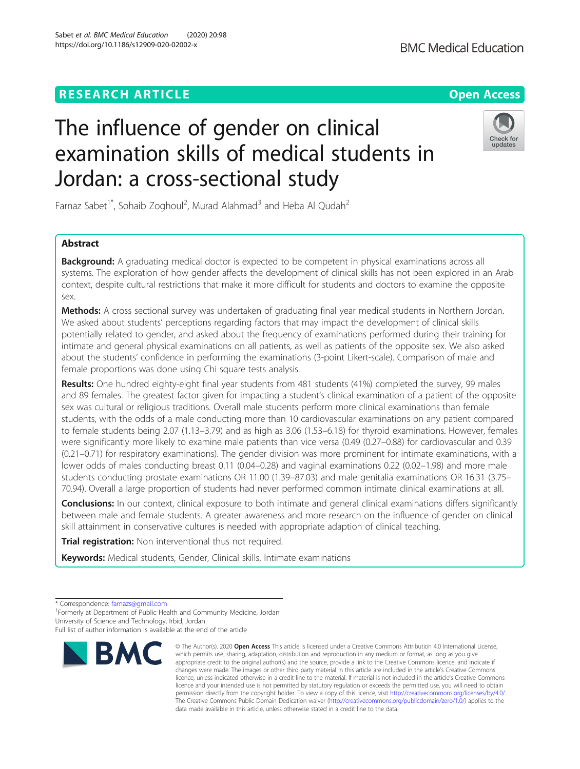## **RESEARCH ARTICLE Example 2014 12:30 The Contract of Contract ACCESS**

# The influence of gender on clinical examination skills of medical students in Jordan: a cross-sectional study

Farnaz Sabet<sup>1\*</sup>, Sohaib Zoghoul<sup>2</sup>, Murad Alahmad<sup>3</sup> and Heba Al Qudah<sup>2</sup>

## Abstract

Background: A graduating medical doctor is expected to be competent in physical examinations across all systems. The exploration of how gender affects the development of clinical skills has not been explored in an Arab context, despite cultural restrictions that make it more difficult for students and doctors to examine the opposite sex.

Methods: A cross sectional survey was undertaken of graduating final year medical students in Northern Jordan. We asked about students' perceptions regarding factors that may impact the development of clinical skills potentially related to gender, and asked about the frequency of examinations performed during their training for intimate and general physical examinations on all patients, as well as patients of the opposite sex. We also asked about the students' confidence in performing the examinations (3-point Likert-scale). Comparison of male and female proportions was done using Chi square tests analysis.

Results: One hundred eighty-eight final year students from 481 students (41%) completed the survey, 99 males and 89 females. The greatest factor given for impacting a student's clinical examination of a patient of the opposite sex was cultural or religious traditions. Overall male students perform more clinical examinations than female students, with the odds of a male conducting more than 10 cardiovascular examinations on any patient compared to female students being 2.07 (1.13–3.79) and as high as 3.06 (1.53–6.18) for thyroid examinations. However, females were significantly more likely to examine male patients than vice versa (0.49 (0.27–0.88) for cardiovascular and 0.39 (0.21–0.71) for respiratory examinations). The gender division was more prominent for intimate examinations, with a lower odds of males conducting breast 0.11 (0.04–0.28) and vaginal examinations 0.22 (0.02–1.98) and more male students conducting prostate examinations OR 11.00 (1.39–87.03) and male genitalia examinations OR 16.31 (3.75– 70.94). Overall a large proportion of students had never performed common intimate clinical examinations at all.

Conclusions: In our context, clinical exposure to both intimate and general clinical examinations differs significantly between male and female students. A greater awareness and more research on the influence of gender on clinical skill attainment in conservative cultures is needed with appropriate adaption of clinical teaching.

Trial registration: Non interventional thus not required.

Keywords: Medical students, Gender, Clinical skills, Intimate examinations

\* Correspondence: [farnazs@gmail.com](mailto:farnazs@gmail.com) <sup>1</sup>

**RMC** 

<sup>1</sup> Formerly at Department of Public Health and Community Medicine, Jordan University of Science and Technology, Irbid, Jordan

© The Author(s), 2020 **Open Access** This article is licensed under a Creative Commons Attribution 4.0 International License, which permits use, sharing, adaptation, distribution and reproduction in any medium or format, as long as you give appropriate credit to the original author(s) and the source, provide a link to the Creative Commons licence, and indicate if changes were made. The images or other third party material in this article are included in the article's Creative Commons





Full list of author information is available at the end of the article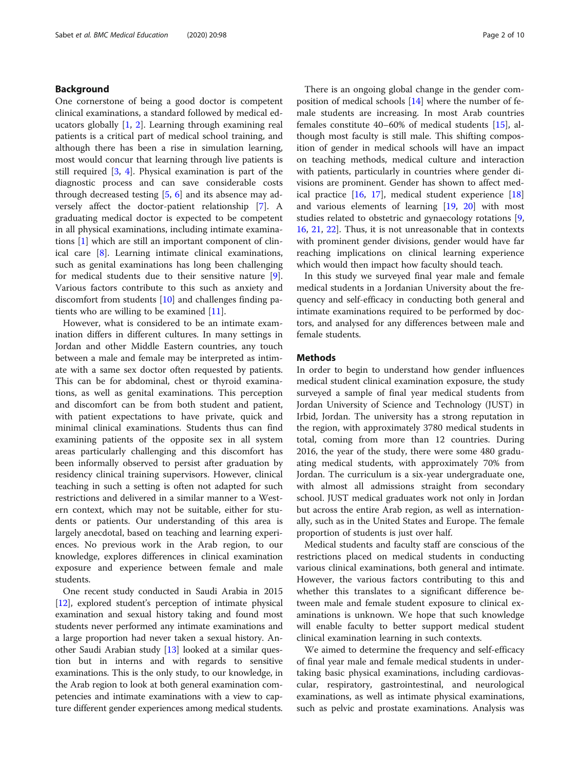## Background

One cornerstone of being a good doctor is competent clinical examinations, a standard followed by medical educators globally  $[1, 2]$  $[1, 2]$  $[1, 2]$  $[1, 2]$  $[1, 2]$ . Learning through examining real patients is a critical part of medical school training, and although there has been a rise in simulation learning, most would concur that learning through live patients is still required [\[3](#page-9-0), [4](#page-9-0)]. Physical examination is part of the diagnostic process and can save considerable costs through decreased testing  $[5, 6]$  $[5, 6]$  $[5, 6]$  and its absence may adversely affect the doctor-patient relationship [[7\]](#page-9-0). A graduating medical doctor is expected to be competent in all physical examinations, including intimate examinations [[1\]](#page-9-0) which are still an important component of clinical care [\[8](#page-9-0)]. Learning intimate clinical examinations, such as genital examinations has long been challenging for medical students due to their sensitive nature [\[9](#page-9-0)]. Various factors contribute to this such as anxiety and discomfort from students [[10\]](#page-9-0) and challenges finding patients who are willing to be examined [\[11\]](#page-9-0).

However, what is considered to be an intimate examination differs in different cultures. In many settings in Jordan and other Middle Eastern countries, any touch between a male and female may be interpreted as intimate with a same sex doctor often requested by patients. This can be for abdominal, chest or thyroid examinations, as well as genital examinations. This perception and discomfort can be from both student and patient, with patient expectations to have private, quick and minimal clinical examinations. Students thus can find examining patients of the opposite sex in all system areas particularly challenging and this discomfort has been informally observed to persist after graduation by residency clinical training supervisors. However, clinical teaching in such a setting is often not adapted for such restrictions and delivered in a similar manner to a Western context, which may not be suitable, either for students or patients. Our understanding of this area is largely anecdotal, based on teaching and learning experiences. No previous work in the Arab region, to our knowledge, explores differences in clinical examination exposure and experience between female and male students.

One recent study conducted in Saudi Arabia in 2015 [[12](#page-9-0)], explored student's perception of intimate physical examination and sexual history taking and found most students never performed any intimate examinations and a large proportion had never taken a sexual history. Another Saudi Arabian study [\[13](#page-9-0)] looked at a similar question but in interns and with regards to sensitive examinations. This is the only study, to our knowledge, in the Arab region to look at both general examination competencies and intimate examinations with a view to capture different gender experiences among medical students.

There is an ongoing global change in the gender composition of medical schools [\[14](#page-9-0)] where the number of female students are increasing. In most Arab countries females constitute 40–60% of medical students [[15\]](#page-9-0), although most faculty is still male. This shifting composition of gender in medical schools will have an impact on teaching methods, medical culture and interaction with patients, particularly in countries where gender divisions are prominent. Gender has shown to affect medical practice [\[16,](#page-9-0) [17](#page-9-0)], medical student experience [[18](#page-9-0)] and various elements of learning [\[19](#page-9-0), [20\]](#page-9-0) with most studies related to obstetric and gynaecology rotations [\[9](#page-9-0), [16,](#page-9-0) [21,](#page-9-0) [22](#page-9-0)]. Thus, it is not unreasonable that in contexts with prominent gender divisions, gender would have far reaching implications on clinical learning experience which would then impact how faculty should teach.

In this study we surveyed final year male and female medical students in a Jordanian University about the frequency and self-efficacy in conducting both general and intimate examinations required to be performed by doctors, and analysed for any differences between male and female students.

## **Methods**

In order to begin to understand how gender influences medical student clinical examination exposure, the study surveyed a sample of final year medical students from Jordan University of Science and Technology (JUST) in Irbid, Jordan. The university has a strong reputation in the region, with approximately 3780 medical students in total, coming from more than 12 countries. During 2016, the year of the study, there were some 480 graduating medical students, with approximately 70% from Jordan. The curriculum is a six-year undergraduate one, with almost all admissions straight from secondary school. JUST medical graduates work not only in Jordan but across the entire Arab region, as well as internationally, such as in the United States and Europe. The female proportion of students is just over half.

Medical students and faculty staff are conscious of the restrictions placed on medical students in conducting various clinical examinations, both general and intimate. However, the various factors contributing to this and whether this translates to a significant difference between male and female student exposure to clinical examinations is unknown. We hope that such knowledge will enable faculty to better support medical student clinical examination learning in such contexts.

We aimed to determine the frequency and self-efficacy of final year male and female medical students in undertaking basic physical examinations, including cardiovascular, respiratory, gastrointestinal, and neurological examinations, as well as intimate physical examinations, such as pelvic and prostate examinations. Analysis was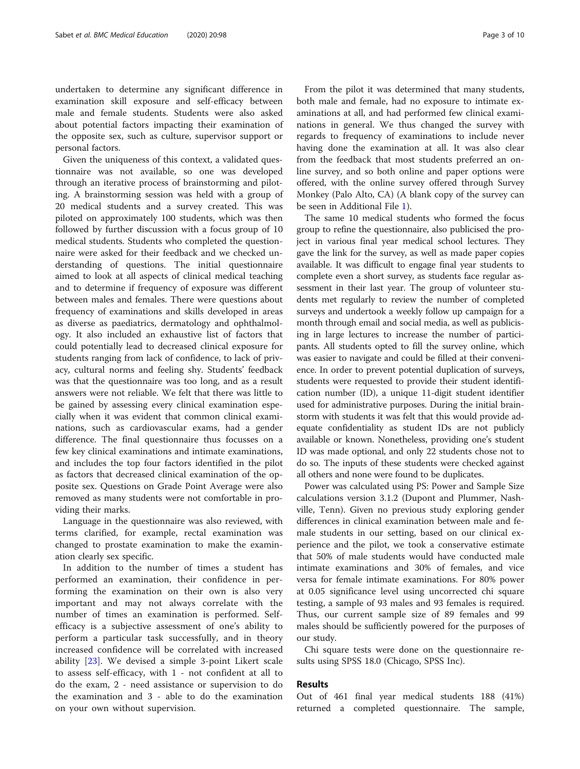undertaken to determine any significant difference in examination skill exposure and self-efficacy between male and female students. Students were also asked about potential factors impacting their examination of the opposite sex, such as culture, supervisor support or personal factors.

Given the uniqueness of this context, a validated questionnaire was not available, so one was developed through an iterative process of brainstorming and piloting. A brainstorming session was held with a group of 20 medical students and a survey created. This was piloted on approximately 100 students, which was then followed by further discussion with a focus group of 10 medical students. Students who completed the questionnaire were asked for their feedback and we checked understanding of questions. The initial questionnaire aimed to look at all aspects of clinical medical teaching and to determine if frequency of exposure was different between males and females. There were questions about frequency of examinations and skills developed in areas as diverse as paediatrics, dermatology and ophthalmology. It also included an exhaustive list of factors that could potentially lead to decreased clinical exposure for students ranging from lack of confidence, to lack of privacy, cultural norms and feeling shy. Students' feedback was that the questionnaire was too long, and as a result answers were not reliable. We felt that there was little to be gained by assessing every clinical examination especially when it was evident that common clinical examinations, such as cardiovascular exams, had a gender difference. The final questionnaire thus focusses on a few key clinical examinations and intimate examinations, and includes the top four factors identified in the pilot as factors that decreased clinical examination of the opposite sex. Questions on Grade Point Average were also removed as many students were not comfortable in providing their marks.

Language in the questionnaire was also reviewed, with terms clarified, for example, rectal examination was changed to prostate examination to make the examination clearly sex specific.

In addition to the number of times a student has performed an examination, their confidence in performing the examination on their own is also very important and may not always correlate with the number of times an examination is performed. Selfefficacy is a subjective assessment of one's ability to perform a particular task successfully, and in theory increased confidence will be correlated with increased ability [[23](#page-9-0)]. We devised a simple 3-point Likert scale to assess self-efficacy, with 1 - not confident at all to do the exam, 2 - need assistance or supervision to do the examination and 3 - able to do the examination on your own without supervision.

From the pilot it was determined that many students, both male and female, had no exposure to intimate examinations at all, and had performed few clinical examinations in general. We thus changed the survey with regards to frequency of examinations to include never having done the examination at all. It was also clear from the feedback that most students preferred an online survey, and so both online and paper options were offered, with the online survey offered through Survey Monkey (Palo Alto, CA) (A blank copy of the survey can be seen in Additional File [1\)](#page-8-0).

The same 10 medical students who formed the focus group to refine the questionnaire, also publicised the project in various final year medical school lectures. They gave the link for the survey, as well as made paper copies available. It was difficult to engage final year students to complete even a short survey, as students face regular assessment in their last year. The group of volunteer students met regularly to review the number of completed surveys and undertook a weekly follow up campaign for a month through email and social media, as well as publicising in large lectures to increase the number of participants. All students opted to fill the survey online, which was easier to navigate and could be filled at their convenience. In order to prevent potential duplication of surveys, students were requested to provide their student identification number (ID), a unique 11-digit student identifier used for administrative purposes. During the initial brainstorm with students it was felt that this would provide adequate confidentiality as student IDs are not publicly available or known. Nonetheless, providing one's student ID was made optional, and only 22 students chose not to do so. The inputs of these students were checked against all others and none were found to be duplicates.

Power was calculated using PS: Power and Sample Size calculations version 3.1.2 (Dupont and Plummer, Nashville, Tenn). Given no previous study exploring gender differences in clinical examination between male and female students in our setting, based on our clinical experience and the pilot, we took a conservative estimate that 50% of male students would have conducted male intimate examinations and 30% of females, and vice versa for female intimate examinations. For 80% power at 0.05 significance level using uncorrected chi square testing, a sample of 93 males and 93 females is required. Thus, our current sample size of 89 females and 99 males should be sufficiently powered for the purposes of our study.

Chi square tests were done on the questionnaire results using SPSS 18.0 (Chicago, SPSS Inc).

### Results

Out of 461 final year medical students 188 (41%) returned a completed questionnaire. The sample,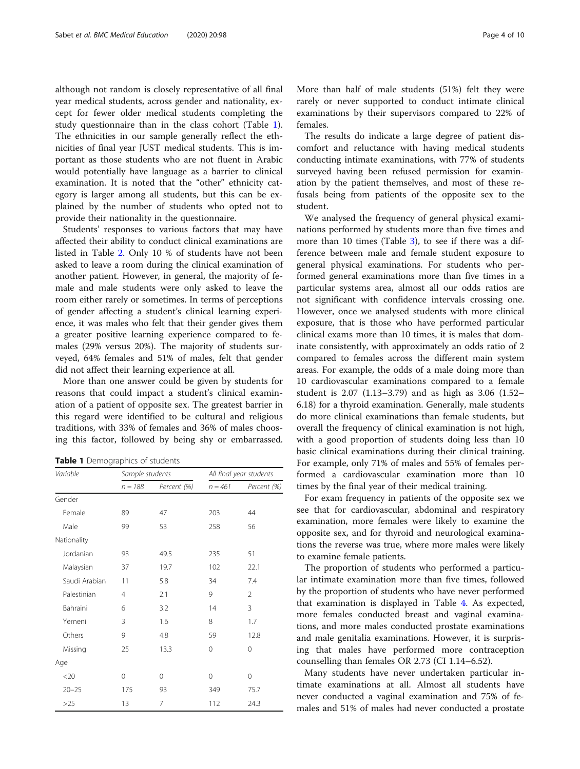although not random is closely representative of all final year medical students, across gender and nationality, except for fewer older medical students completing the study questionnaire than in the class cohort (Table 1). The ethnicities in our sample generally reflect the ethnicities of final year JUST medical students. This is important as those students who are not fluent in Arabic would potentially have language as a barrier to clinical examination. It is noted that the "other" ethnicity category is larger among all students, but this can be explained by the number of students who opted not to provide their nationality in the questionnaire.

Students' responses to various factors that may have affected their ability to conduct clinical examinations are listed in Table [2](#page-4-0). Only 10 % of students have not been asked to leave a room during the clinical examination of another patient. However, in general, the majority of female and male students were only asked to leave the room either rarely or sometimes. In terms of perceptions of gender affecting a student's clinical learning experience, it was males who felt that their gender gives them a greater positive learning experience compared to females (29% versus 20%). The majority of students surveyed, 64% females and 51% of males, felt that gender did not affect their learning experience at all.

More than one answer could be given by students for reasons that could impact a student's clinical examination of a patient of opposite sex. The greatest barrier in this regard were identified to be cultural and religious traditions, with 33% of females and 36% of males choosing this factor, followed by being shy or embarrassed.

Table 1 Demographics of students

| Variable      | Sample students |             | All final year students |             |
|---------------|-----------------|-------------|-------------------------|-------------|
|               | $n = 188$       | Percent (%) | $n = 461$               | Percent (%) |
| Gender        |                 |             |                         |             |
| Female        | 89              | 47          | 203                     | 44          |
| Male          | 99              | 53          | 258                     | 56          |
| Nationality   |                 |             |                         |             |
| Jordanian     | 93              | 49.5        | 235                     | 51          |
| Malaysian     | 37              | 19.7        | 102                     | 22.1        |
| Saudi Arabian | 11              | 5.8         | 34                      | 7.4         |
| Palestinian   | 4               | 2.1         | 9                       | 2           |
| Bahraini      | 6               | 3.2         | 14                      | 3           |
| Yemeni        | 3               | 1.6         | 8                       | 1.7         |
| Others        | 9               | 4.8         | 59                      | 12.8        |
| Missing       | 25              | 13.3        | 0                       | 0           |
| Age           |                 |             |                         |             |
| <20           | $\Omega$        | $\Omega$    | $\Omega$                | $\Omega$    |
| $20 - 25$     | 175             | 93          | 349                     | 75.7        |
| >25           | 13              | 7           | 112                     | 24.3        |

More than half of male students (51%) felt they were rarely or never supported to conduct intimate clinical examinations by their supervisors compared to 22% of females.

The results do indicate a large degree of patient discomfort and reluctance with having medical students conducting intimate examinations, with 77% of students surveyed having been refused permission for examination by the patient themselves, and most of these refusals being from patients of the opposite sex to the student.

We analysed the frequency of general physical examinations performed by students more than five times and more than 10 times (Table [3](#page-5-0)), to see if there was a difference between male and female student exposure to general physical examinations. For students who performed general examinations more than five times in a particular systems area, almost all our odds ratios are not significant with confidence intervals crossing one. However, once we analysed students with more clinical exposure, that is those who have performed particular clinical exams more than 10 times, it is males that dominate consistently, with approximately an odds ratio of 2 compared to females across the different main system areas. For example, the odds of a male doing more than 10 cardiovascular examinations compared to a female student is 2.07 (1.13–3.79) and as high as 3.06 (1.52– 6.18) for a thyroid examination. Generally, male students do more clinical examinations than female students, but overall the frequency of clinical examination is not high, with a good proportion of students doing less than 10 basic clinical examinations during their clinical training. For example, only 71% of males and 55% of females performed a cardiovascular examination more than 10 times by the final year of their medical training.

For exam frequency in patients of the opposite sex we see that for cardiovascular, abdominal and respiratory examination, more females were likely to examine the opposite sex, and for thyroid and neurological examinations the reverse was true, where more males were likely to examine female patients.

The proportion of students who performed a particular intimate examination more than five times, followed by the proportion of students who have never performed that examination is displayed in Table [4](#page-6-0). As expected, more females conducted breast and vaginal examinations, and more males conducted prostate examinations and male genitalia examinations. However, it is surprising that males have performed more contraception counselling than females OR 2.73 (CI 1.14–6.52).

Many students have never undertaken particular intimate examinations at all. Almost all students have never conducted a vaginal examination and 75% of females and 51% of males had never conducted a prostate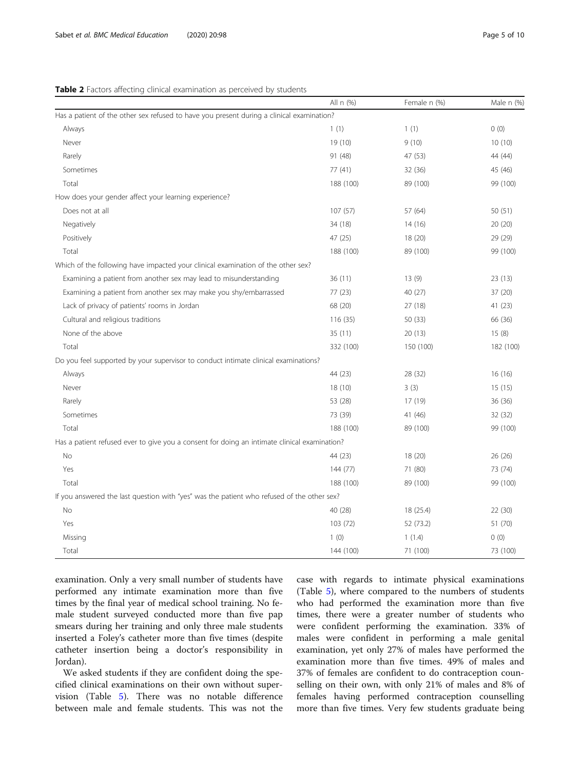#### <span id="page-4-0"></span>Table 2 Factors affecting clinical examination as perceived by students

|                                                                                              | All n (%) | Female n (%) | Male n (%) |
|----------------------------------------------------------------------------------------------|-----------|--------------|------------|
| Has a patient of the other sex refused to have you present during a clinical examination?    |           |              |            |
| Always                                                                                       | 1(1)      | 1(1)         | 0(0)       |
| Never                                                                                        | 19 (10)   | 9(10)        | 10(10)     |
| Rarely                                                                                       | 91 (48)   | 47 (53)      | 44 (44)    |
| Sometimes                                                                                    | 77 (41)   | 32 (36)      | 45 (46)    |
| Total                                                                                        | 188 (100) | 89 (100)     | 99 (100)   |
| How does your gender affect your learning experience?                                        |           |              |            |
| Does not at all                                                                              | 107(57)   | 57 (64)      | 50 $(51)$  |
| Negatively                                                                                   | 34 (18)   | 14(16)       | 20(20)     |
| Positively                                                                                   | 47 (25)   | 18(20)       | 29 (29)    |
| Total                                                                                        | 188 (100) | 89 (100)     | 99 (100)   |
| Which of the following have impacted your clinical examination of the other sex?             |           |              |            |
| Examining a patient from another sex may lead to misunderstanding                            | 36(11)    | 13(9)        | 23(13)     |
| Examining a patient from another sex may make you shy/embarrassed                            | 77 (23)   | 40 (27)      | 37 (20)    |
| Lack of privacy of patients' rooms in Jordan                                                 | 68 (20)   | 27 (18)      | 41(23)     |
| Cultural and religious traditions                                                            | 116(35)   | 50 (33)      | 66 (36)    |
| None of the above                                                                            | 35(11)    | 20(13)       | 15(8)      |
| Total                                                                                        | 332 (100) | 150 (100)    | 182 (100)  |
| Do you feel supported by your supervisor to conduct intimate clinical examinations?          |           |              |            |
| Always                                                                                       | 44 (23)   | 28 (32)      | 16(16)     |
| Never                                                                                        | 18(10)    | 3(3)         | 15(15)     |
| Rarely                                                                                       | 53 (28)   | 17 (19)      | 36 (36)    |
| Sometimes                                                                                    | 73 (39)   | 41 (46)      | 32 (32)    |
| Total                                                                                        | 188 (100) | 89 (100)     | 99 (100)   |
| Has a patient refused ever to give you a consent for doing an intimate clinical examination? |           |              |            |
| No                                                                                           | 44 (23)   | 18 (20)      | 26 (26)    |
| Yes                                                                                          | 144(77)   | 71 (80)      | 73 (74)    |
| Total                                                                                        | 188 (100) | 89 (100)     | 99 (100)   |
| If you answered the last question with "yes" was the patient who refused of the other sex?   |           |              |            |
| No                                                                                           | 40 (28)   | 18 (25.4)    | 22(30)     |
| Yes                                                                                          | 103(72)   | 52 (73.2)    | 51 (70)    |
| Missing                                                                                      | 1(0)      | 1(1.4)       | 0(0)       |
| Total                                                                                        | 144 (100) | 71 (100)     | 73 (100)   |

examination. Only a very small number of students have performed any intimate examination more than five times by the final year of medical school training. No female student surveyed conducted more than five pap smears during her training and only three male students inserted a Foley's catheter more than five times (despite catheter insertion being a doctor's responsibility in Jordan).

We asked students if they are confident doing the specified clinical examinations on their own without supervision (Table [5\)](#page-6-0). There was no notable difference between male and female students. This was not the case with regards to intimate physical examinations (Table [5\)](#page-6-0), where compared to the numbers of students who had performed the examination more than five times, there were a greater number of students who were confident performing the examination. 33% of males were confident in performing a male genital examination, yet only 27% of males have performed the examination more than five times. 49% of males and 37% of females are confident to do contraception counselling on their own, with only 21% of males and 8% of females having performed contraception counselling more than five times. Very few students graduate being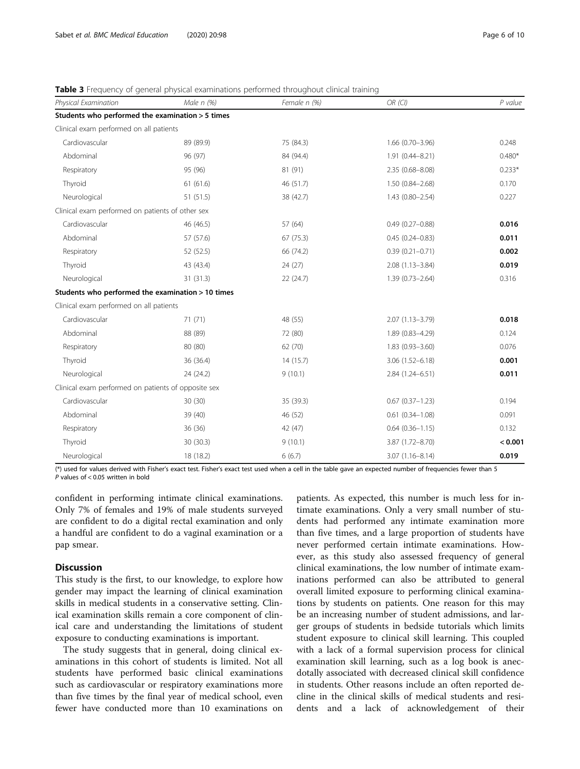<span id="page-5-0"></span>

| <b>Table 3</b> Frequency of general physical examinations performed throughout clinical training |  |  |  |
|--------------------------------------------------------------------------------------------------|--|--|--|
|                                                                                                  |  |  |  |

| Physical Examination                                | Male n (%) | Female n (%) | $OR$ (CI)            | P value  |
|-----------------------------------------------------|------------|--------------|----------------------|----------|
| Students who performed the examination > 5 times    |            |              |                      |          |
| Clinical exam performed on all patients             |            |              |                      |          |
| Cardiovascular                                      | 89 (89.9)  | 75 (84.3)    | $1.66(0.70 - 3.96)$  | 0.248    |
| Abdominal                                           | 96 (97)    | 84 (94.4)    | 1.91 (0.44-8.21)     | $0.480*$ |
| Respiratory                                         | 95 (96)    | 81 (91)      | 2.35 (0.68-8.08)     | $0.233*$ |
| Thyroid                                             | 61(61.6)   | 46 (51.7)    | 1.50 (0.84-2.68)     | 0.170    |
| Neurological                                        | 51(51.5)   | 38 (42.7)    | $1.43(0.80 - 2.54)$  | 0.227    |
| Clinical exam performed on patients of other sex    |            |              |                      |          |
| Cardiovascular                                      | 46 (46.5)  | 57 (64)      | $0.49(0.27 - 0.88)$  | 0.016    |
| Abdominal                                           | 57 (57.6)  | 67 (75.3)    | $0.45(0.24 - 0.83)$  | 0.011    |
| Respiratory                                         | 52 (52.5)  | 66 (74.2)    | $0.39(0.21 - 0.71)$  | 0.002    |
| Thyroid                                             | 43 (43.4)  | 24 (27)      | 2.08 (1.13-3.84)     | 0.019    |
| Neurological                                        | 31(31.3)   | 22 (24.7)    | 1.39 (0.73-2.64)     | 0.316    |
| Students who performed the examination > 10 times   |            |              |                      |          |
| Clinical exam performed on all patients             |            |              |                      |          |
| Cardiovascular                                      | 71(71)     | 48 (55)      | 2.07 (1.13-3.79)     | 0.018    |
| Abdominal                                           | 88 (89)    | 72 (80)      | 1.89 (0.83-4.29)     | 0.124    |
| Respiratory                                         | 80 (80)    | 62 (70)      | $1.83(0.93 - 3.60)$  | 0.076    |
| Thyroid                                             | 36 (36.4)  | 14(15.7)     | 3.06 (1.52-6.18)     | 0.001    |
| Neurological                                        | 24 (24.2)  | 9(10.1)      | 2.84 (1.24-6.51)     | 0.011    |
| Clinical exam performed on patients of opposite sex |            |              |                      |          |
| Cardiovascular                                      | 30(30)     | 35 (39.3)    | $0.67(0.37 - 1.23)$  | 0.194    |
| Abdominal                                           | 39 (40)    | 46 (52)      | $0.61 (0.34 - 1.08)$ | 0.091    |
| Respiratory                                         | 36 (36)    | 42 (47)      | $0.64(0.36 - 1.15)$  | 0.132    |
| Thyroid                                             | 30 (30.3)  | 9(10.1)      | 3.87 (1.72-8.70)     | < 0.001  |
| Neurological                                        | 18 (18.2)  | 6(6.7)       | $3.07(1.16 - 8.14)$  | 0.019    |

(\*) used for values derived with Fisher's exact test. Fisher's exact test used when a cell in the table gave an expected number of frequencies fewer than 5 P values of < 0.05 written in bold

confident in performing intimate clinical examinations. Only 7% of females and 19% of male students surveyed are confident to do a digital rectal examination and only a handful are confident to do a vaginal examination or a pap smear.

## Discussion

This study is the first, to our knowledge, to explore how gender may impact the learning of clinical examination skills in medical students in a conservative setting. Clinical examination skills remain a core component of clinical care and understanding the limitations of student exposure to conducting examinations is important.

The study suggests that in general, doing clinical examinations in this cohort of students is limited. Not all students have performed basic clinical examinations such as cardiovascular or respiratory examinations more than five times by the final year of medical school, even fewer have conducted more than 10 examinations on

patients. As expected, this number is much less for intimate examinations. Only a very small number of students had performed any intimate examination more than five times, and a large proportion of students have never performed certain intimate examinations. However, as this study also assessed frequency of general clinical examinations, the low number of intimate examinations performed can also be attributed to general overall limited exposure to performing clinical examinations by students on patients. One reason for this may be an increasing number of student admissions, and larger groups of students in bedside tutorials which limits student exposure to clinical skill learning. This coupled with a lack of a formal supervision process for clinical examination skill learning, such as a log book is anecdotally associated with decreased clinical skill confidence in students. Other reasons include an often reported decline in the clinical skills of medical students and residents and a lack of acknowledgement of their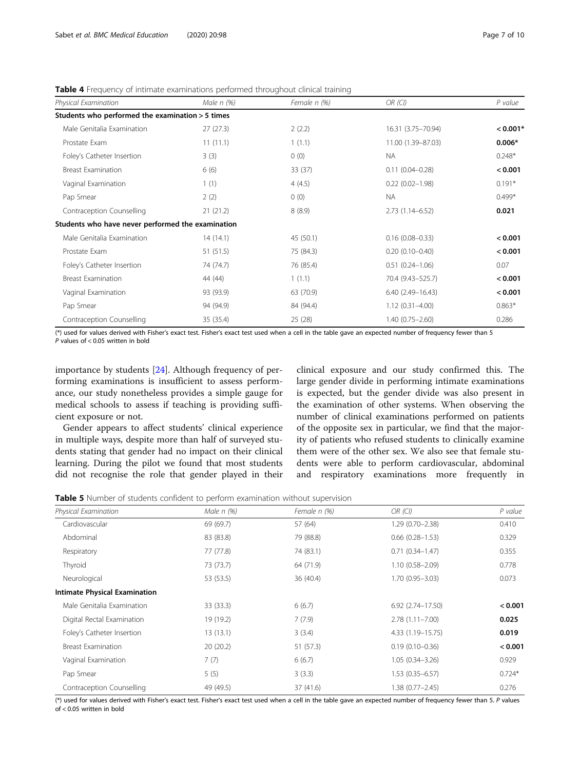| Physical Examination                              | Male n (%) | Female n (%) | $OR$ (CI)            | P value    |
|---------------------------------------------------|------------|--------------|----------------------|------------|
| Students who performed the examination > 5 times  |            |              |                      |            |
| Male Genitalia Examination                        | 27(27.3)   | 2(2.2)       | 16.31 (3.75-70.94)   | $< 0.001*$ |
| Prostate Exam                                     | 11(11.1)   | 1(1.1)       | 11.00 (1.39-87.03)   | $0.006*$   |
| Foley's Catheter Insertion                        | 3(3)       | 0(0)         | ΝA                   | $0.248*$   |
| <b>Breast Examination</b>                         | 6(6)       | 33(37)       | $0.11(0.04 - 0.28)$  | < 0.001    |
| Vaginal Examination                               | 1(1)       | 4(4.5)       | $0.22(0.02 - 1.98)$  | $0.191*$   |
| Pap Smear                                         | 2(2)       | 0(0)         | ΝA                   | $0.499*$   |
| Contraception Counselling                         | 21(21.2)   | 8(8.9)       | $2.73(1.14 - 6.52)$  | 0.021      |
| Students who have never performed the examination |            |              |                      |            |
| Male Genitalia Examination                        | 14(14.1)   | 45 (50.1)    | $0.16(0.08 - 0.33)$  | < 0.001    |
| Prostate Exam                                     | 51(51.5)   | 75 (84.3)    | $0.20(0.10 - 0.40)$  | < 0.001    |
| Foley's Catheter Insertion                        | 74 (74.7)  | 76 (85.4)    | $0.51(0.24 - 1.06)$  | 0.07       |
| <b>Breast Examination</b>                         | 44 (44)    | 1(1.1)       | 70.4 (9.43-525.7)    | < 0.001    |
| Vaginal Examination                               | 93 (93.9)  | 63 (70.9)    | $6.40(2.49 - 16.43)$ | < 0.001    |
| Pap Smear                                         | 94 (94.9)  | 84 (94.4)    | $1.12(0.31 - 4.00)$  | $0.863*$   |
| Contraception Counselling                         | 35 (35.4)  | 25(28)       | $1.40(0.75 - 2.60)$  | 0.286      |

<span id="page-6-0"></span>Table 4 Frequency of intimate examinations performed throughout clinical training

(\*) used for values derived with Fisher's exact test. Fisher's exact test used when a cell in the table gave an expected number of frequency fewer than 5 P values of < 0.05 written in bold

importance by students [[24](#page-9-0)]. Although frequency of performing examinations is insufficient to assess performance, our study nonetheless provides a simple gauge for medical schools to assess if teaching is providing sufficient exposure or not.

Gender appears to affect students' clinical experience in multiple ways, despite more than half of surveyed students stating that gender had no impact on their clinical learning. During the pilot we found that most students did not recognise the role that gender played in their

clinical exposure and our study confirmed this. The large gender divide in performing intimate examinations is expected, but the gender divide was also present in the examination of other systems. When observing the number of clinical examinations performed on patients of the opposite sex in particular, we find that the majority of patients who refused students to clinically examine them were of the other sex. We also see that female students were able to perform cardiovascular, abdominal and respiratory examinations more frequently in

Table 5 Number of students confident to perform examination without supervision

| Physical Examination                 | Male n (%) | Female n (%) | $OR$ (CI)               | P value  |
|--------------------------------------|------------|--------------|-------------------------|----------|
| Cardiovascular                       | 69 (69.7)  | 57 (64)      | $1.29(0.70 - 2.38)$     | 0.410    |
| Abdominal                            | 83 (83.8)  | 79 (88.8)    | $0.66$ $(0.28 - 1.53)$  | 0.329    |
| Respiratory                          | 77 (77.8)  | 74 (83.1)    | $0.71(0.34 - 1.47)$     | 0.355    |
| Thyroid                              | 73 (73.7)  | 64 (71.9)    | $1.10(0.58 - 2.09)$     | 0.778    |
| Neurological                         | 53 (53.5)  | 36 (40.4)    | $1.70(0.95 - 3.03)$     | 0.073    |
| <b>Intimate Physical Examination</b> |            |              |                         |          |
| Male Genitalia Examination           | 33 (33.3)  | 6(6.7)       | $6.92$ $(2.74 - 17.50)$ | < 0.001  |
| Digital Rectal Examination           | 19 (19.2)  | 7(7.9)       | $2.78(1.11 - 7.00)$     | 0.025    |
| Foley's Catheter Insertion           | 13(13.1)   | 3(3.4)       | 4.33 (1.19 - 15.75)     | 0.019    |
| <b>Breast Examination</b>            | 20(20.2)   | 51 (57.3)    | $0.19(0.10 - 0.36)$     | < 0.001  |
| Vaginal Examination                  | 7(7)       | 6(6.7)       | $1.05(0.34 - 3.26)$     | 0.929    |
| Pap Smear                            | 5(5)       | 3(3.3)       | $1.53(0.35 - 6.57)$     | $0.724*$ |
| Contraception Counselling            | 49 (49.5)  | 37(41.6)     | $1.38(0.77 - 2.45)$     | 0.276    |

(\*) used for values derived with Fisher's exact test. Fisher's exact test used when a cell in the table gave an expected number of frequency fewer than 5. P values of < 0.05 written in bold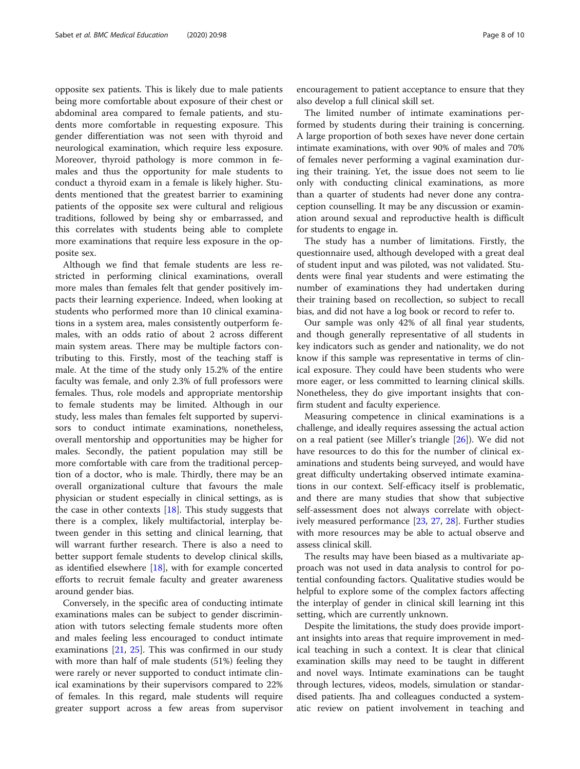opposite sex patients. This is likely due to male patients being more comfortable about exposure of their chest or abdominal area compared to female patients, and students more comfortable in requesting exposure. This gender differentiation was not seen with thyroid and neurological examination, which require less exposure. Moreover, thyroid pathology is more common in females and thus the opportunity for male students to conduct a thyroid exam in a female is likely higher. Students mentioned that the greatest barrier to examining patients of the opposite sex were cultural and religious traditions, followed by being shy or embarrassed, and this correlates with students being able to complete more examinations that require less exposure in the opposite sex.

Although we find that female students are less restricted in performing clinical examinations, overall more males than females felt that gender positively impacts their learning experience. Indeed, when looking at students who performed more than 10 clinical examinations in a system area, males consistently outperform females, with an odds ratio of about 2 across different main system areas. There may be multiple factors contributing to this. Firstly, most of the teaching staff is male. At the time of the study only 15.2% of the entire faculty was female, and only 2.3% of full professors were females. Thus, role models and appropriate mentorship to female students may be limited. Although in our study, less males than females felt supported by supervisors to conduct intimate examinations, nonetheless, overall mentorship and opportunities may be higher for males. Secondly, the patient population may still be more comfortable with care from the traditional perception of a doctor, who is male. Thirdly, there may be an overall organizational culture that favours the male physician or student especially in clinical settings, as is the case in other contexts  $[18]$  $[18]$ . This study suggests that there is a complex, likely multifactorial, interplay between gender in this setting and clinical learning, that will warrant further research. There is also a need to better support female students to develop clinical skills, as identified elsewhere [\[18\]](#page-9-0), with for example concerted efforts to recruit female faculty and greater awareness around gender bias.

Conversely, in the specific area of conducting intimate examinations males can be subject to gender discrimination with tutors selecting female students more often and males feeling less encouraged to conduct intimate examinations [[21,](#page-9-0) [25](#page-9-0)]. This was confirmed in our study with more than half of male students (51%) feeling they were rarely or never supported to conduct intimate clinical examinations by their supervisors compared to 22% of females. In this regard, male students will require greater support across a few areas from supervisor

encouragement to patient acceptance to ensure that they also develop a full clinical skill set.

The limited number of intimate examinations performed by students during their training is concerning. A large proportion of both sexes have never done certain intimate examinations, with over 90% of males and 70% of females never performing a vaginal examination during their training. Yet, the issue does not seem to lie only with conducting clinical examinations, as more than a quarter of students had never done any contraception counselling. It may be any discussion or examination around sexual and reproductive health is difficult for students to engage in.

The study has a number of limitations. Firstly, the questionnaire used, although developed with a great deal of student input and was piloted, was not validated. Students were final year students and were estimating the number of examinations they had undertaken during their training based on recollection, so subject to recall bias, and did not have a log book or record to refer to.

Our sample was only 42% of all final year students, and though generally representative of all students in key indicators such as gender and nationality, we do not know if this sample was representative in terms of clinical exposure. They could have been students who were more eager, or less committed to learning clinical skills. Nonetheless, they do give important insights that confirm student and faculty experience.

Measuring competence in clinical examinations is a challenge, and ideally requires assessing the actual action on a real patient (see Miller's triangle [[26](#page-9-0)]). We did not have resources to do this for the number of clinical examinations and students being surveyed, and would have great difficulty undertaking observed intimate examinations in our context. Self-efficacy itself is problematic, and there are many studies that show that subjective self-assessment does not always correlate with objectively measured performance [\[23](#page-9-0), [27](#page-9-0), [28\]](#page-9-0). Further studies with more resources may be able to actual observe and assess clinical skill.

The results may have been biased as a multivariate approach was not used in data analysis to control for potential confounding factors. Qualitative studies would be helpful to explore some of the complex factors affecting the interplay of gender in clinical skill learning int this setting, which are currently unknown.

Despite the limitations, the study does provide important insights into areas that require improvement in medical teaching in such a context. It is clear that clinical examination skills may need to be taught in different and novel ways. Intimate examinations can be taught through lectures, videos, models, simulation or standardised patients. Jha and colleagues conducted a systematic review on patient involvement in teaching and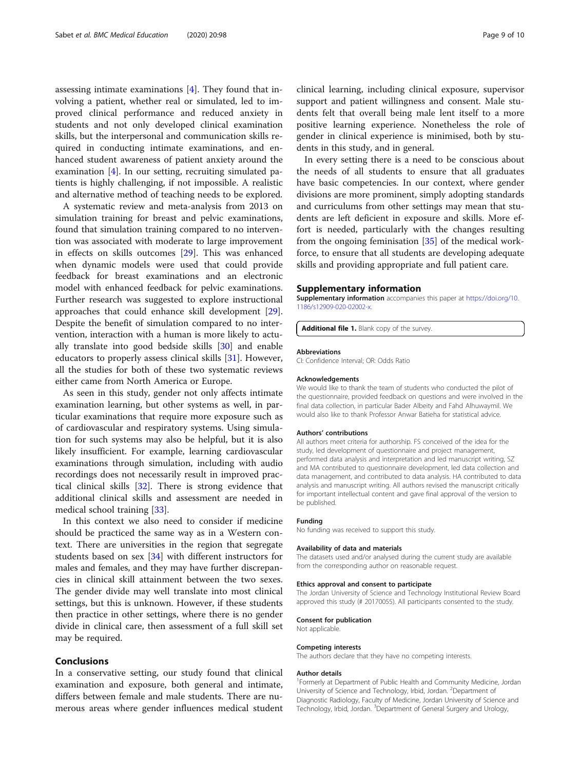<span id="page-8-0"></span>assessing intimate examinations [[4\]](#page-9-0). They found that involving a patient, whether real or simulated, led to improved clinical performance and reduced anxiety in students and not only developed clinical examination skills, but the interpersonal and communication skills required in conducting intimate examinations, and enhanced student awareness of patient anxiety around the examination [[4\]](#page-9-0). In our setting, recruiting simulated patients is highly challenging, if not impossible. A realistic and alternative method of teaching needs to be explored.

A systematic review and meta-analysis from 2013 on simulation training for breast and pelvic examinations, found that simulation training compared to no intervention was associated with moderate to large improvement in effects on skills outcomes [\[29](#page-9-0)]. This was enhanced when dynamic models were used that could provide feedback for breast examinations and an electronic model with enhanced feedback for pelvic examinations. Further research was suggested to explore instructional approaches that could enhance skill development [\[29](#page-9-0)]. Despite the benefit of simulation compared to no intervention, interaction with a human is more likely to actually translate into good bedside skills [\[30](#page-9-0)] and enable educators to properly assess clinical skills [[31](#page-9-0)]. However, all the studies for both of these two systematic reviews either came from North America or Europe.

As seen in this study, gender not only affects intimate examination learning, but other systems as well, in particular examinations that require more exposure such as of cardiovascular and respiratory systems. Using simulation for such systems may also be helpful, but it is also likely insufficient. For example, learning cardiovascular examinations through simulation, including with audio recordings does not necessarily result in improved practical clinical skills  $[32]$  $[32]$  $[32]$ . There is strong evidence that additional clinical skills and assessment are needed in medical school training [[33](#page-9-0)].

In this context we also need to consider if medicine should be practiced the same way as in a Western context. There are universities in the region that segregate students based on sex [[34\]](#page-9-0) with different instructors for males and females, and they may have further discrepancies in clinical skill attainment between the two sexes. The gender divide may well translate into most clinical settings, but this is unknown. However, if these students then practice in other settings, where there is no gender divide in clinical care, then assessment of a full skill set may be required.

## Conclusions

In a conservative setting, our study found that clinical examination and exposure, both general and intimate, differs between female and male students. There are numerous areas where gender influences medical student clinical learning, including clinical exposure, supervisor support and patient willingness and consent. Male students felt that overall being male lent itself to a more positive learning experience. Nonetheless the role of gender in clinical experience is minimised, both by students in this study, and in general.

In every setting there is a need to be conscious about the needs of all students to ensure that all graduates have basic competencies. In our context, where gender divisions are more prominent, simply adopting standards and curriculums from other settings may mean that students are left deficient in exposure and skills. More effort is needed, particularly with the changes resulting from the ongoing feminisation [\[35](#page-9-0)] of the medical workforce, to ensure that all students are developing adequate skills and providing appropriate and full patient care.

#### Supplementary information

Supplementary information accompanies this paper at [https://doi.org/10.](https://doi.org/10.1186/s12909-020-02002-x) [1186/s12909-020-02002-x.](https://doi.org/10.1186/s12909-020-02002-x)

Additional file 1. Blank copy of the survey.

#### Abbreviations

CI: Confidence Interval; OR: Odds Ratio

#### Acknowledgements

We would like to thank the team of students who conducted the pilot of the questionnaire, provided feedback on questions and were involved in the final data collection, in particular Bader Albeity and Fahd Alhuwaymil. We would also like to thank Professor Anwar Batieha for statistical advice.

#### Authors' contributions

All authors meet criteria for authorship. FS conceived of the idea for the study, led development of questionnaire and project management, performed data analysis and interpretation and led manuscript writing, SZ and MA contributed to questionnaire development, led data collection and data management, and contributed to data analysis. HA contributed to data analysis and manuscript writing. All authors revised the manuscript critically for important intellectual content and gave final approval of the version to be published.

#### Funding

No funding was received to support this study.

#### Availability of data and materials

The datasets used and/or analysed during the current study are available from the corresponding author on reasonable request.

#### Ethics approval and consent to participate

The Jordan University of Science and Technology Institutional Review Board approved this study (# 20170055). All participants consented to the study.

#### Consent for publication

Not applicable

#### Competing interests

The authors declare that they have no competing interests.

#### Author details

<sup>1</sup> Formerly at Department of Public Health and Community Medicine, Jordan University of Science and Technology, Irbid, Jordan. <sup>2</sup>Department of Diagnostic Radiology, Faculty of Medicine, Jordan University of Science and Technology, Irbid, Jordan. <sup>3</sup> Department of General Surgery and Urology,